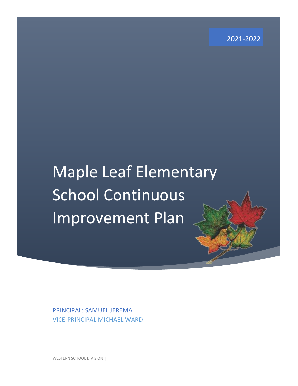2021-2022

# Maple Leaf Elementary School Continuous Improvement Plan

PRINCIPAL: SAMUEL JEREMA VICE-PRINCIPAL MICHAEL WARD

WESTERN SCHOOL DIVISION |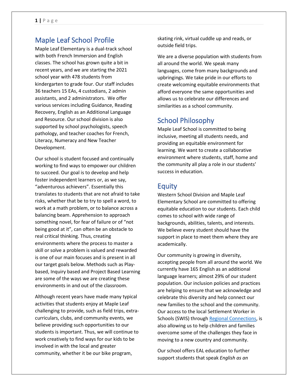# Maple Leaf School Profile

Maple Leaf Elementary is a dual-track school with both French Immersion and English classes. The school has grown quite a bit in recent years, and we are starting the 2021 school year with 478 students from kindergarten to grade four. Our staff includes 36 teachers 15 EAs, 4 custodians, 2 admin assistants, and 2 administrators. We offer various services including Guidance, Reading Recovery, English as an Additional Language and Resource. Our school division is also supported by school psychologists, speech pathology, and teacher coaches for French, Literacy, Numeracy and New Teacher Development.

Our school is student focused and continually working to find ways to empower our children to succeed. Our goal is to develop and help foster independent learners or, as we say, "adventurous achievers". Essentially this translates to students that are not afraid to take risks, whether that be to try to spell a word, to work at a math problem, or to balance across a balancing beam. Apprehension to approach something novel, for fear of failure or of "not being good at it", can often be an obstacle to real critical thinking. Thus, creating environments where the process to master a skill or solve a problem is valued and rewarded is one of our main focuses and is present in all our target goals below. Methods such as Playbased, Inquiry based and Project Based Learning are some of the ways we are creating these environments in and out of the classroom.

Although recent years have made many typical activities that students enjoy at Maple Leaf challenging to provide, such as field trips, extracurriculars, clubs, and community events, we believe providing such opportunities to our students is important. Thus, we will continue to work creatively to find ways for our kids to be involved in with the local and greater community, whether it be our bike program,

skating rink, virtual cuddle up and reads, or outside field trips.

We are a diverse population with students from all around the world. We speak many languages, come from many backgrounds and upbringings. We take pride in our efforts to create welcoming equitable environments that afford everyone the same opportunities and allows us to celebrate our differences and similarities as a school community.

# School Philosophy

Maple Leaf School is committed to being inclusive, meeting all students needs, and providing an equitable environment for learning. We want to create a collaborative environment where students, staff, home and the community all play a role in our students' success in education.

## Equity

Western School Division and Maple Leaf Elementary School are committed to offering equitable education to our students. Each child comes to school with wide range of backgrounds, abilities, talents, and interests. We believe every student should have the support in place to meet them where they are academically.

Our community is growing in diversity, accepting people from all around the world. We currently have 165 English as an additional language learners; almost 29% of our student population. Our inclusion policies and practices are helping to ensure that we acknowledge and celebrate this diversity and help connect our new families to the school and the community. Our access to the local Settlement Worker in Schools (SWIS) through [Regional Connections,](https://regionalconnections.ca/) is also allowing us to help children and families overcome some of the challenges they face in moving to a new country and community.

Our school offers EAL education to further support students that speak *English as an*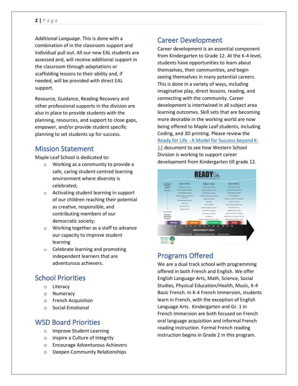#### **2 |** P a g e

*Additional Language.* This is done with a combination of in the classroom support and individual pull out. All our new EAL students are assessed and, will receive additional support in the classroom through adaptations or scaffolding lessons to their ability and, if needed, will be provided with direct EAL support.

Resource, Guidance, Reading Recovery and other professional supports in the division are also in place to provide students with the planning, resources, and support to close gaps, empower, and/or provide student specific planning to set students up for success.

### Mission Statement

Maple Leaf School is dedicated to:

- o Working as a community to provide a safe, caring student-centred learning environment where diversity is celebrated;
- o Activating student learning in support of our children reaching their potential as creative, responsible, and contributing members of our democratic society;
- o Working together as a staff to advance our capacity to improve student learning
- o Celebrate learning and promoting independent learners that are adventurous achievers.

# School Priorities

- o Literacy
- o Numeracy
- o French Acquisition
- o Social-Emotional

### WSD Board Priorities

- o Improve Student Learning
- o Inspire a Culture of Integrity
- o Encourage Adventurous Achievers
- o Deepen Community Relationships

## Career Development

Career development is an essential component from Kindergarten to Grade 12. At the K-4 level, students have opportunities to learn about themselves, their communities, and begin seeing themselves in many potential careers. This is done in a variety of ways, including imaginative play, direct lessons, reading, and connecting with the community. Career development is intertwined in all subject area learning outcomes. Skill sets that are becoming more desirable in the working world are now being offered to Maple Leaf students, including Coding, and 3D printing. Please review the Ready for Life - [A Model for Success beyond K-](https://www.westernsd.mb.ca/school/mordenmiddle/Programs/careerdevelopment/Documents/Ready%20for%20Life%20(2017).pdf)[12](https://www.westernsd.mb.ca/school/mordenmiddle/Programs/careerdevelopment/Documents/Ready%20for%20Life%20(2017).pdf) document to see how Western School Division is working to support career development from Kindergarten till grade 12.



# Programs Offered

We are a dual track school with programming offered in both French and English. We offer English Language Arts, Math, Science, Social Studies, Physical Education/Health, Music, K-4 Basic French. In K-4 French Immersion, students learn in French, with the exception of English Language Arts. Kindergarten and Gr. 1 in French Immersion are both focused on French oral language acquisition and informal French reading instruction. Formal French reading instruction begins in Grade 2 in this program.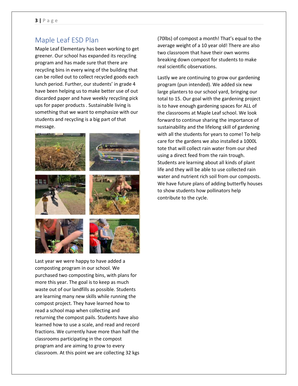# Maple Leaf ESD Plan

Maple Leaf Elementary has been working to get greener. Our school has expanded its recycling program and has made sure that there are recycling bins in every wing of the building that can be rolled out to collect recycled goods each lunch period. Further, our students' in grade 4 have been helping us to make better use of out discarded paper and have weekly recycling pick ups for paper products . Sustainable living is something that we want to emphasize with our students and recycling is a big part of that message.



Last year we were happy to have added a composting program in our school. We purchased two composting bins, with plans for more this year. The goal is to keep as much waste out of our landfills as possible. Students are learning many new skills while running the compost project. They have learned how to read a school map when collecting and returning the compost pails. Students have also learned how to use a scale, and read and record fractions. We currently have more than half the classrooms participating in the compost program and are aiming to grow to every classroom. At this point we are collecting 32 kgs

(70lbs) of compost a month! That's equal to the average weight of a 10 year old! There are also two classroom that have their own worms breaking down compost for students to make real scientific observations.

Lastly we are continuing to grow our gardening program (pun intended). We added six new large planters to our school yard, bringing our total to 15. Our goal with the gardening project is to have enough gardening spaces for ALL of the classrooms at Maple Leaf school. We look forward to continue sharing the importance of sustainability and the lifelong skill of gardening with all the students for years to come! To help care for the gardens we also installed a 1000L tote that will collect rain water from our shed using a direct feed from the rain trough. Students are learning about all kinds of plant life and they will be able to use collected rain water and nutrient rich soil from our composts. We have future plans of adding butterfly houses to show students how pollinators help contribute to the cycle.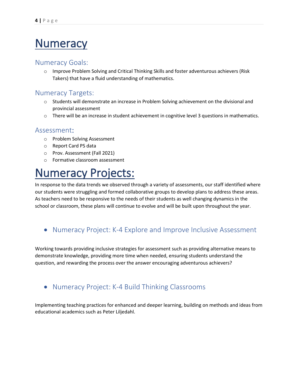# Numeracy

#### Numeracy Goals:

o Improve Problem Solving and Critical Thinking Skills and foster adventurous achievers (Risk Takers) that have a fluid understanding of mathematics.

# Numeracy Targets:

- $\circ$  Students will demonstrate an increase in Problem Solving achievement on the divisional and provincial assessment
- $\circ$  There will be an increase in student achievement in cognitive level 3 questions in mathematics.

#### Assessment:

- o Problem Solving Assessment
- o Report Card PS data
- o Prov. Assessment (Fall 2021)
- o Formative classroom assessment

# Numeracy Projects:

In response to the data trends we observed through a variety of assessments, our staff identified where our students were struggling and formed collaborative groups to develop plans to address these areas. As teachers need to be responsive to the needs of their students as well changing dynamics in the school or classroom, these plans will continue to evolve and will be built upon throughout the year.

# • Numeracy Project: K-4 Explore and Improve Inclusive Assessment

Working towards providing inclusive strategies for assessment such as providing alternative means to demonstrate knowledge, providing more time when needed, ensuring students understand the question, and rewarding the process over the answer encouraging adventurous achievers?

# • Numeracy Project: K-4 Build Thinking Classrooms

Implementing teaching practices for enhanced and deeper learning, building on methods and ideas from educational academics such as Peter Liljedahl.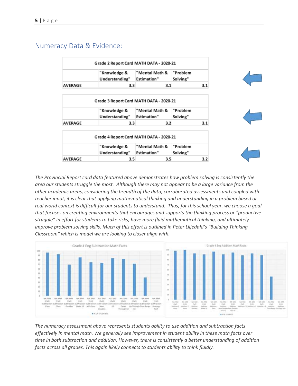### Numeracy Data & Evidence:

|                | Grade 2 Report Card MATH DATA - 2020-21                                   |                                      |                      |     |
|----------------|---------------------------------------------------------------------------|--------------------------------------|----------------------|-----|
|                | "Knowledge &<br>Understanding"                                            | "Mental Math &<br><b>Estimation"</b> | "Problem<br>Solving" |     |
| <b>AVERAGE</b> | 3.3                                                                       | 3.1                                  |                      | 3.1 |
|                | Grade 3 Report Card MATH DATA - 2020-21<br>"Knowledge &<br>Understanding" | "Mental Math &<br><b>Estimation"</b> | "Problem<br>Solving" |     |
|                |                                                                           |                                      |                      |     |
| <b>AVERAGE</b> | 3.3                                                                       | 3.2                                  |                      | 3.1 |
|                | Grade 4 Report Card MATH DATA - 2020-21                                   |                                      |                      |     |
|                | "Knowledge &                                                              | "Mental Math &                       | "Problem             |     |
|                | Understanding"                                                            | <b>Estimation"</b>                   | Solving"             |     |
| <b>AVERAGE</b> | 3.5                                                                       | 3.5                                  |                      | 3.2 |

*The Provincial Report card data featured above demonstrates how problem solving is consistently the area our students struggle the most. Although there may not appear to be a large variance from the other academic areas, considering the breadth of the data, corroborated assessments and coupled with teacher input, it is clear that applying mathematical thinking and understanding in a problem based or real world context is difficult for our students to understand. Thus, for this school year, we choose a goal that focuses on creating environments that encourages and supports the thinking process or "productive struggle" in effort for students to take risks, have more fluid mathematical thinking, and ultimately improve problem solving skills. Much of this effort is outlined in Peter Liljedahl's "Building Thinking Classroom" which is model we are looking to closer align with[.](https://www.peterliljedahl.com/teachers)*



*The numeracy assessment above represents students ability to use addition and subtraction facts effectively in mental math. We generally see improvement in student ability in these math facts over time in both subtraction and addition. However, there is consistently a better understanding of addition facts across all grades. This again likely connects to students ability to think fluidly.*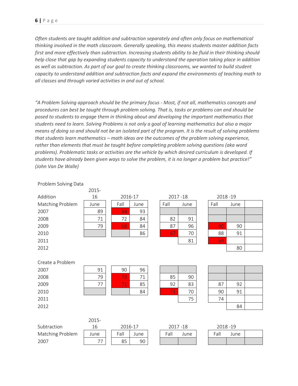*Often students are taught addition and subtraction separately and often only focus on mathematical thinking involved in the math classroom. Generally speaking, this means students master addition facts first and more effectively than subtraction. Increasing students ability to be fluid in their thinking should help close that gap by expanding students capacity to understand the operation taking place in addition as well as subtraction. As part of our goal to create thinking classrooms, we wanted to build student capacity to understand addition and subtraction facts and expand the environments of teaching math to all classes and through varied activities in and out of school.*

*"A Problem Solving approach should be the primary focus - Most, if not all, mathematics concepts and procedures can best be taught through problem solving. That is, tasks or problems can and should be posed to students to engage them in thinking about and developing the important mathematics that students need to learn. Solving Problems is not only a goal of learning mathematics but also a major means of doing so and should not be an isolated part of the program. It is the result of solving problems that students learn mathematics – math ideas are the outcomes of the problem solving experience, rather than elements that must be taught before completing problem solving questions (aka word problems). Problematic tasks or activities are the vehicle by which desired curriculum is developed. If students have already been given ways to solve the problem, it is no longer a problem but practice!" (John Van De Walle)*

|                  | 2015- |         |             |             |      |             |      |  |
|------------------|-------|---------|-------------|-------------|------|-------------|------|--|
| Addition         | 16    | 2016-17 |             | 2017-18     |      | 2018-19     |      |  |
| Matching Problem | June  | Fall    | June        | Fall        | June | Fall        | June |  |
| 2007             | 89    | 84      | 93          |             |      |             |      |  |
| 2008             | 71    | 72      | 84          | 82          | 91   |             |      |  |
| 2009             | 79    | 68      | 84          | 87          | 96   | 90          | 90   |  |
| 2010             |       |         | 86          | 67          | 70   | 88          | 91   |  |
| 2011             |       |         |             |             | 81   | 69          |      |  |
| 2012             |       |         |             |             |      |             | 80   |  |
|                  |       |         |             |             |      |             |      |  |
| Create a Problem |       |         |             |             |      |             |      |  |
| 2007             | 91    | 90      | 96          |             |      |             |      |  |
| 2008             | 79    | 73      | 71          | 85          | 90   |             |      |  |
| 2009             | 77    | 71      | 85          | 92          | 83   | 87          | 92   |  |
| 2010             |       |         | 84          | 71          | 70   | 90          | 91   |  |
| 2011             |       |         |             |             | 75   | 74          |      |  |
| 2012             |       |         |             |             |      |             | 84   |  |
|                  |       |         |             |             |      |             |      |  |
|                  | 2015- |         |             |             |      |             |      |  |
| Subtraction      | 16    |         | $2016 - 17$ | $2017 - 18$ |      | $2018 - 19$ |      |  |

#### Problem Solving Data

|                  | 2015- |         |        |      |           |           |      |  |
|------------------|-------|---------|--------|------|-----------|-----------|------|--|
| Subtraction      |       | 2016-17 |        |      | 2017 - 18 | 2018 - 19 |      |  |
| Matching Problem | June  | Fall    | June i | Falı | June.     | Fall      | June |  |
| 2007             |       | 85      | 90     |      |           |           |      |  |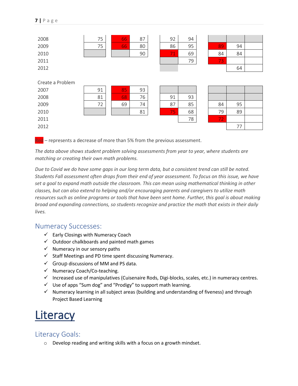| 2008             | 75 | 66 | 87 | 92 | 94 |    |    |  |
|------------------|----|----|----|----|----|----|----|--|
| 2009             | 75 | 66 | 80 | 86 | 95 | 89 | 94 |  |
| 2010             |    |    | 90 | 71 | 69 | 84 | 84 |  |
| 2011             |    |    |    |    | 79 | 73 |    |  |
| 2012             |    |    |    |    |    |    | 64 |  |
|                  |    |    |    |    |    |    |    |  |
| Create a Problem |    |    |    |    |    |    |    |  |
| 2007             | 91 | 85 | 93 |    |    |    |    |  |
| 2008             | 81 | 68 | 76 | 91 | 93 |    |    |  |
| 2009             | 72 | 69 | 74 | 87 | 85 | 84 | 95 |  |
| 2010             |    |    | 81 | 75 | 68 | 79 | 89 |  |
| 2011             |    |    |    |    | 78 | 72 |    |  |
| 2012             |    |    |    |    |    |    | 77 |  |

Red – represents a decrease of more than 5% from the previous assessment.

*The data above shows student problem solving assessments from year to year, where students are matching or creating their own math problems.*

*Due to Covid we do have some gaps in our long term data, but a consistent trend can still be noted. Students Fall assessment often drops from their end of year assessment. To focus on this issue, we have set a goal to expand math outside the classroom. This can mean using mathematical thinking in other classes, but can also extend to helping and/or encouraging parents and caregivers to utilize math resources such as online programs or tools that have been sent home. Further, this goal is about making broad and expanding connections, so students recognize and practice the math that exists in their daily lives.*

#### Numeracy Successes:

- ✓ Early Closings with Numeracy Coach
- $\checkmark$  Outdoor chalkboards and painted math games
- $\checkmark$  Numeracy in our sensory paths
- $\checkmark$  Staff Meetings and PD time spent discussing Numeracy.
- $\checkmark$  Group discussions of MM and PS data.
- ✓ Numeracy Coach/Co-teaching.
- ✓ Increased use of manipulatives (Cuisenaire Rods, Digi-blocks, scales, etc.) in numeracy centres.
- ✓ Use of apps "Sum dog" and "Prodigy" to support math learning.
- ✓ Numeracy learning in all subject areas (building and understanding of fiveness) and through Project Based Learning

# **Literacy**

# Literacy Goals:

o Develop reading and writing skills with a focus on a growth mindset.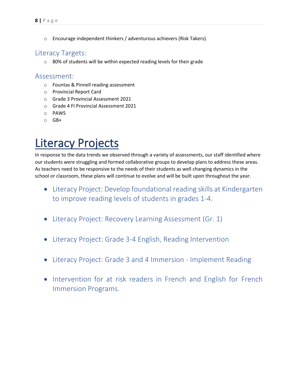o Encourage independent thinkers / adventurous achievers (Risk Takers).

### Literacy Targets:

o 80% of students will be within expected reading levels for their grade

#### Assessment:

- o Fountas & Pinnell reading assessment
- o Provincial Report Card
- o Grade 3 Provincial Assessment 2021
- o Grade 4 FI Provincial Assessment 2021
- o PAWS
- o GB+

# Literacy Projects

In response to the data trends we observed through a variety of assessments, our staff identified where our students were struggling and formed collaborative groups to develop plans to address these areas. As teachers need to be responsive to the needs of their students as well changing dynamics in the school or classroom, these plans will continue to evolve and will be built upon throughout the year.

- Literacy Project: Develop foundational reading skills at Kindergarten to improve reading levels of students in grades 1-4.
- Literacy Project: Recovery Learning Assessment (Gr. 1)
- Literacy Project: Grade 3-4 English, Reading Intervention
- Literacy Project: Grade 3 and 4 Immersion Implement Reading
- Intervention for at risk readers in French and English for French Immersion Programs.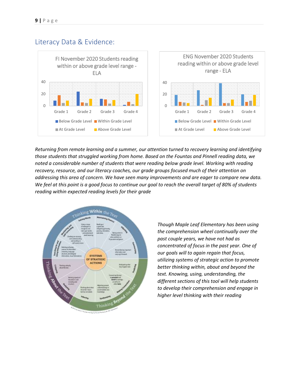### Literacy Data & Evidence:



*Returning from remote learning and a summer, our attention turned to recovery learning and identifying those students that struggled working from home. Based on the Fountas and Pinnell reading data, we noted a considerable number of students that were reading below grade level. Working with reading recovery, resource, and our literacy coaches, our grade groups focused much of their attention on addressing this area of concern. We have seen many improvements and are eager to compare new data. We feel at this point is a good focus to continue our goal to reach the overall target of 80% of students reading within expected reading levels for their grade* 



*Though Maple Leaf Elementary has been using the comprehension wheel continually over the past couple years, we have not had as concentrated of focus in the past year. One of our goals will to again regain that focus, utilizing systems of strategic action to promote better thinking within, about and beyond the text. Knowing, using, understanding, the different sections of this tool will help students to develop their comprehension and engage in higher level thinking with their reading*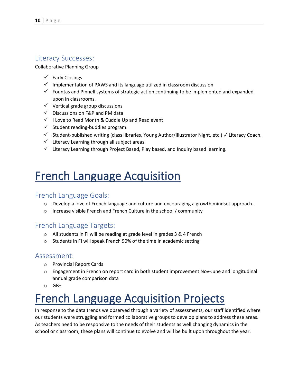### Literacy Successes:

Collaborative Planning Group

- ✓ Early Closings
- ✓ Implementation of PAWS and its language utilized in classroom discussion
- ✓ Fountas and Pinnell systems of strategic action continuing to be implemented and expanded upon in classrooms.
- ✓ Vertical grade group discussions
- ✓ Discussions on F&P and PM data
- ✓ I Love to Read Month & Cuddle Up and Read event
- $\checkmark$  Student reading-buddies program.
- ✓ Student-published writing (class libraries, Young Author/Illustrator Night, etc.) ✓ Literacy Coach.
- ✓ Literacy Learning through all subject areas.
- ✓ Literacy Learning through Project Based, Play based, and Inquiry based learning.

# French Language Acquisition

#### French Language Goals:

- $\circ$  Develop a love of French language and culture and encouraging a growth mindset approach.
- o Increase visible French and French Culture in the school / community

#### French Language Targets:

- o All students in FI will be reading at grade level in grades 3 & 4 French
- o Students in FI will speak French 90% of the time in academic setting

#### Assessment:

- o Provincial Report Cards
- $\circ$  Engagement in French on report card in both student improvement Nov-June and longitudinal annual grade comparison data
- $O$  GB+

# French Language Acquisition Projects

In response to the data trends we observed through a variety of assessments, our staff identified where our students were struggling and formed collaborative groups to develop plans to address these areas. As teachers need to be responsive to the needs of their students as well changing dynamics in the school or classroom, these plans will continue to evolve and will be built upon throughout the year.